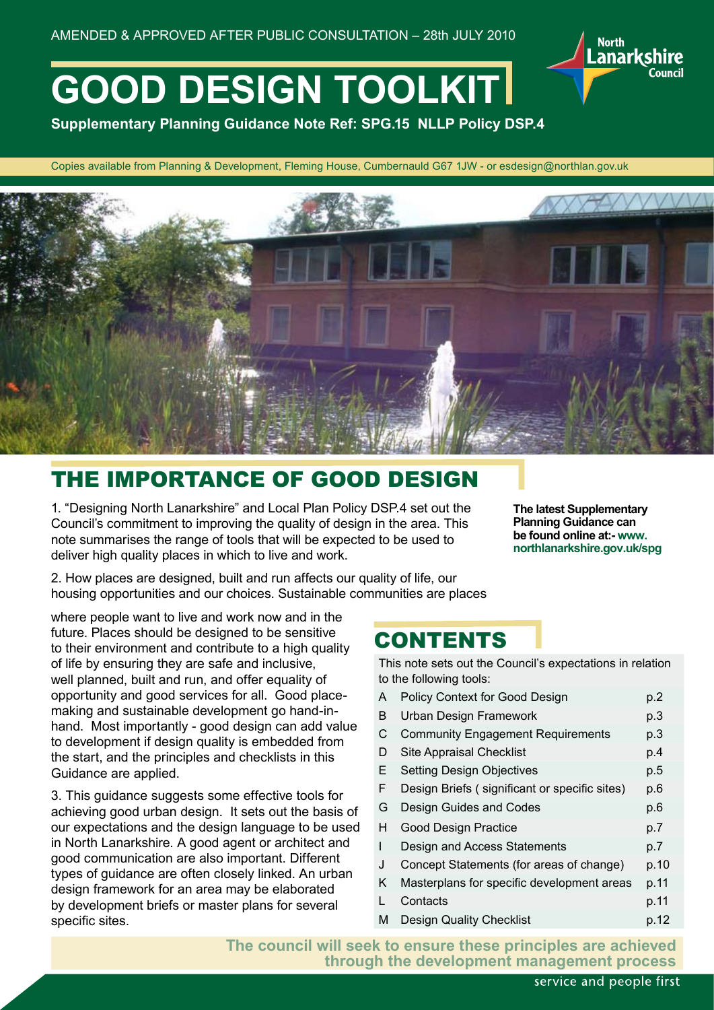

**Supplementary Planning Guidance Note Ref: SPG.15 NLLP Policy DSP.4**

Copies available from Planning & Development, Fleming House, Cumbernauld G67 1JW - or esdesign@northlan.gov.uk



# THE IMPORTANCE OF GOOD DESIGN

1. "Designing North Lanarkshire" and Local Plan Policy DSP.4 set out the Council's commitment to improving the quality of design in the area. This note summarises the range of tools that will be expected to be used to deliver high quality places in which to live and work.

2. How places are designed, built and run affects our quality of life, our housing opportunities and our choices. Sustainable communities are places

**The latest Supplementary Planning Guidance can be found online at:- www. northlanarkshire.gov.uk/spg**

**North** 

.anarkshire

where people want to live and work now and in the future. Places should be designed to be sensitive to their environment and contribute to a high quality of life by ensuring they are safe and inclusive, well planned, built and run, and offer equality of opportunity and good services for all. Good placemaking and sustainable development go hand-inhand. Most importantly - good design can add value to development if design quality is embedded from the start, and the principles and checklists in this Guidance are applied.

3. This guidance suggests some effective tools for achieving good urban design. It sets out the basis of our expectations and the design language to be used in North Lanarkshire. A good agent or architect and good communication are also important. Different types of guidance are often closely linked. An urban design framework for an area may be elaborated by development briefs or master plans for several specific sites.

### CONTENTS

This note sets out the Council's expectations in relation to the following tools:

| A  | Policy Context for Good Design                | p.2  |
|----|-----------------------------------------------|------|
| В  | Urban Design Framework                        | p.3  |
| С  | <b>Community Engagement Requirements</b>      | p.3  |
| D  | <b>Site Appraisal Checklist</b>               | p.4  |
| E. | <b>Setting Design Objectives</b>              | p.5  |
| F  | Design Briefs (significant or specific sites) | p.6  |
| G  | Design Guides and Codes                       | p.6  |
| н  | <b>Good Design Practice</b>                   | p.7  |
| I  | Design and Access Statements                  | p.7  |
| J  | Concept Statements (for areas of change)      | p.10 |
| K. | Masterplans for specific development areas    | p.11 |
| L  | Contacts                                      | p.11 |
| М  | <b>Design Quality Checklist</b>               | p.12 |

**The council will seek to ensure these principles are achieved through the development management process**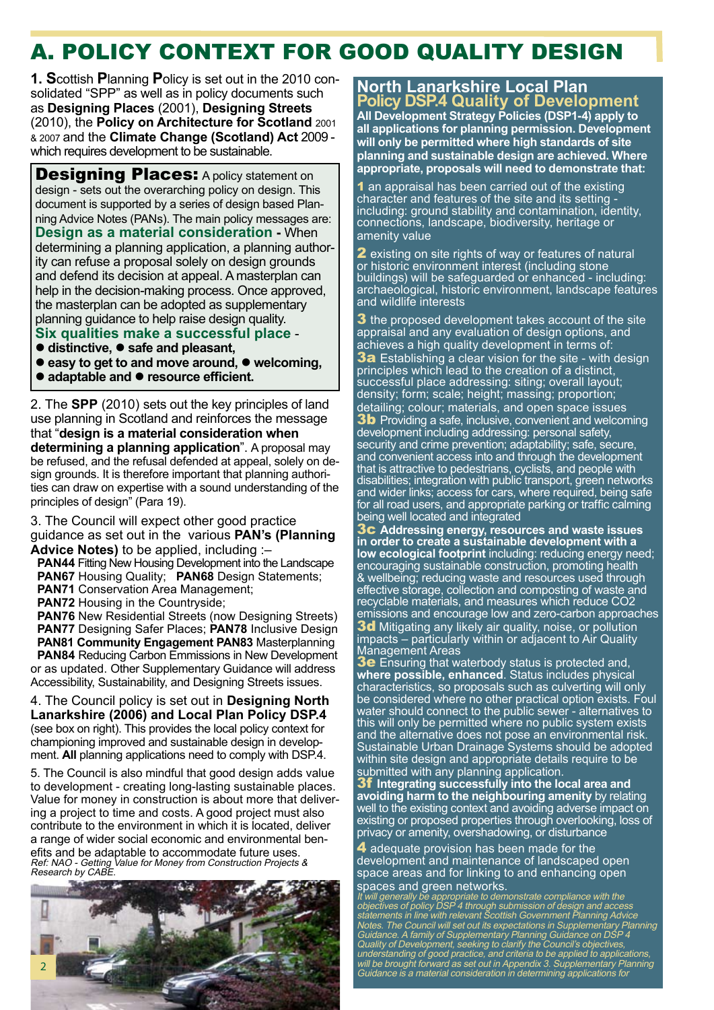# A. POLICY CONTEXT FOR GOOD QUALITY DESIGN

**1. S**cottish **P**lanning **P**olicy is set out in the 2010 consolidated "SPP" as well as in policy documents such as **Designing Places** (2001), **Designing Streets** (2010), the **Policy on Architecture for Scotland** 2001 & 2007 and the **Climate Change (Scotland) Act** 2009 which requires development to be sustainable.

**Designing Places: A policy statement on** design - sets out the overarching policy on design. This document is supported by a series of design based Planning Advice Notes (PANs). The main policy messages are: **Design as a material consideration -** When determining a planning application, a planning authority can refuse a proposal solely on design grounds and defend its decision at appeal. A masterplan can help in the decision-making process. Once approved, the masterplan can be adopted as supplementary planning guidance to help raise design quality.

- **Six qualities make a successful place** -
- distinctive, safe and pleasant,
- **easy to get to and move around,**  $\bullet$  **welcoming,**
- adaptable and resource efficient.

2. The **SPP** (2010) sets out the key principles of land use planning in Scotland and reinforces the message that "**design is a material consideration when determining a planning application**". A proposal may be refused, and the refusal defended at appeal, solely on design grounds. It is therefore important that planning authorities can draw on expertise with a sound understanding of the principles of design" (Para 19).

3. The Council will expect other good practice guidance as set out in the various **PAN's (Planning Advice Notes)** to be applied, including :–

- **PAN44** Fitting New Housing Development into the Landscape **PAN67** Housing Quality; **PAN68** Design Statements;
- **PAN71** Conservation Area Management;
- **PAN72** Housing in the Countryside;

**PAN76** New Residential Streets (now Designing Streets) **PAN77** Designing Safer Places; **PAN78** Inclusive Design

 **PAN81 Community Engagement PAN83** Masterplanning **PAN84** Reducing Carbon Emmissions in New Development or as updated. Other Supplementary Guidance will address Accessibility, Sustainability, and Designing Streets issues.

4. The Council policy is set out in **Designing North Lanarkshire (2006) and Local Plan Policy DSP.4** (see box on right). This provides the local policy context for championing improved and sustainable design in development. **All** planning applications need to comply with DSP.4.

5. The Council is also mindful that good design adds value to development - creating long-lasting sustainable places. Value for money in construction is about more that delivering a project to time and costs. A good project must also contribute to the environment in which it is located, deliver a range of wider social economic and environmental benefits and be adaptable to accommodate future uses. Ref: NAO - Getting Value for Money from Construction Projects & Research by CABE.



**North Lanarkshire Local Plan Policy DSP.4 Quality of Development All Development Strategy Policies (DSP1-4) apply to all applications for planning permission. Development will only be permitted where high standards of site planning and sustainable design are achieved. Where appropriate, proposals will need to demonstrate that:**

1 an appraisal has been carried out of the existing character and features of the site and its setting including: ground stability and contamination, identity, connections, landscape, biodiversity, heritage or amenity value

2 existing on site rights of way or features of natural or historic environment interest (including stone buildings) will be safeguarded or enhanced - including: archaeological, historic environment, landscape features and wildlife interests

**3** the proposed development takes account of the site appraisal and any evaluation of design options, and achieves a high quality development in terms of: **3a** Establishing a clear vision for the site - with design principles which lead to the creation of a distinct, successful place addressing: siting; overall layout; density; form; scale; height; massing; proportion; detailing; colour; materials, and open space issues **3b** Providing a safe, inclusive, convenient and welcoming development including addressing: personal safety, security and crime prevention; adaptability; safe, secure, and convenient access into and through the development that is attractive to pedestrians, cyclists, and people with disabilities; integration with public transport, green networks and wider links; access for cars, where required, being safe for all road users, and appropriate parking or traffic calming being well located and integrated

3c **Addressing energy, resources and waste issues in order to create a sustainable development with a low ecological footprint** including: reducing energy need; encouraging sustainable construction, promoting health & wellbeing; reducing waste and resources used through effective storage, collection and composting of waste and recyclable materials, and measures which reduce CO2 emissions and encourage low and zero-carbon approaches 3d Mitigating any likely air quality, noise, or pollution impacts – particularly within or adjacent to Air Quality Management Areas

**3e** Ensuring that waterbody status is protected and, **where possible, enhanced**. Status includes physical characteristics, so proposals such as culverting will only be considered where no other practical option exists. Foul water should connect to the public sewer - alternatives to this will only be permitted where no public system exists and the alternative does not pose an environmental risk. Sustainable Urban Drainage Systems should be adopted within site design and appropriate details require to be submitted with any planning application.

3f **Integrating successfully into the local area and avoiding harm to the neighbouring amenity** by relating well to the existing context and avoiding adverse impact on existing or proposed properties through overlooking, loss of privacy or amenity, overshadowing, or disturbance

**4** adequate provision has been made for the development and maintenance of landscaped open space areas and for linking to and enhancing open spaces and green networks.

It will generally be appropriate to demonstrate compliance with the objectives of policy DSP 4 through submission of design and access statements in line with relevant Scottish Government Planning Advice Notes. The Council will set out its expectations in Supplementary Planning Guidance. A family of Supplementary Planning Guidance on DSP 4 Quality of Development, seeking to clarify the Council's objectives, understanding of good practice, and criteria to be applied to applications, will be brought forward as set out in Appendix 3. Supplementary Planning Guidance is a material consideration in determining applications for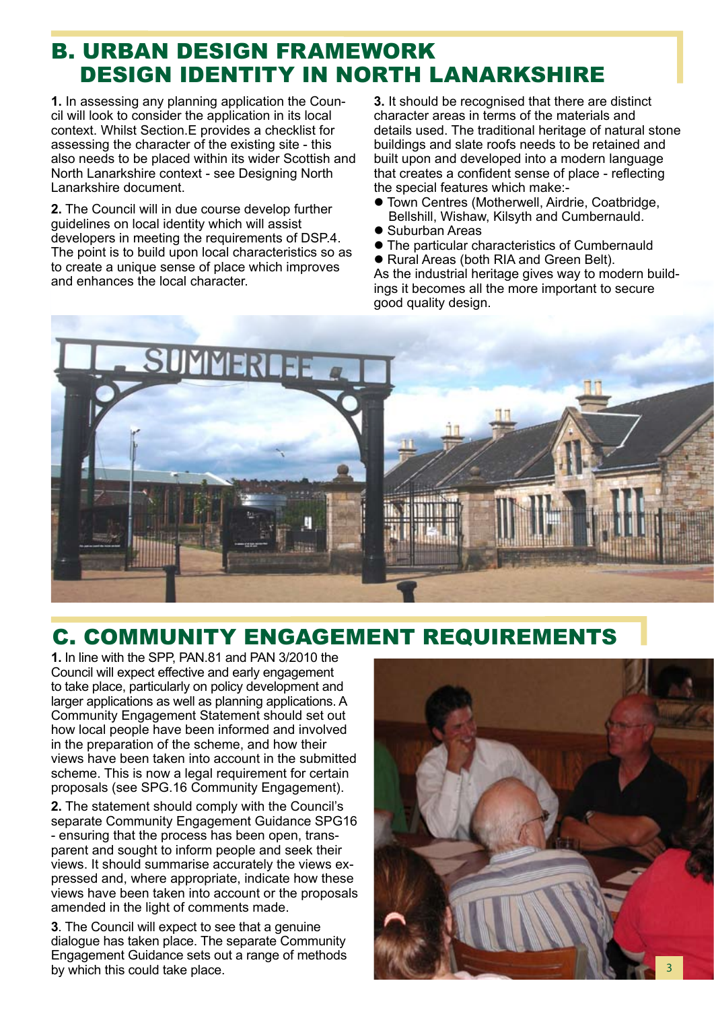# B. URBAN DESIGN FRAMEWORK DESIGN IDENTITY IN NORTH LANARKSHIRE

**1.** In assessing any planning application the Council will look to consider the application in its local context. Whilst Section.E provides a checklist for assessing the character of the existing site - this also needs to be placed within its wider Scottish and North Lanarkshire context - see Designing North Lanarkshire document.

**2.** The Council will in due course develop further guidelines on local identity which will assist developers in meeting the requirements of DSP.4. The point is to build upon local characteristics so as to create a unique sense of place which improves and enhances the local character.

**3.** It should be recognised that there are distinct character areas in terms of the materials and details used. The traditional heritage of natural stone buildings and slate roofs needs to be retained and built upon and developed into a modern language that creates a confident sense of place - reflecting the special features which make:-

- **Town Centres (Motherwell, Airdrie, Coatbridge,** Bellshill, Wishaw, Kilsyth and Cumbernauld.
- Suburban Areas
- The particular characteristics of Cumbernauld
- Rural Areas (both RIA and Green Belt).

As the industrial heritage gives way to modern buildings it becomes all the more important to secure good quality design.



# C. COMMUNITY ENGAGEMENT REQUIREMENTS

**1.** In line with the SPP, PAN.81 and PAN 3/2010 the Council will expect effective and early engagement to take place, particularly on policy development and larger applications as well as planning applications. A Community Engagement Statement should set out how local people have been informed and involved in the preparation of the scheme, and how their views have been taken into account in the submitted scheme. This is now a legal requirement for certain proposals (see SPG.16 Community Engagement).

**2.** The statement should comply with the Council's separate Community Engagement Guidance SPG16 - ensuring that the process has been open, transparent and sought to inform people and seek their views. It should summarise accurately the views expressed and, where appropriate, indicate how these views have been taken into account or the proposals amended in the light of comments made.

**3**. The Council will expect to see that a genuine dialogue has taken place. The separate Community Engagement Guidance sets out a range of methods by which this could take place.

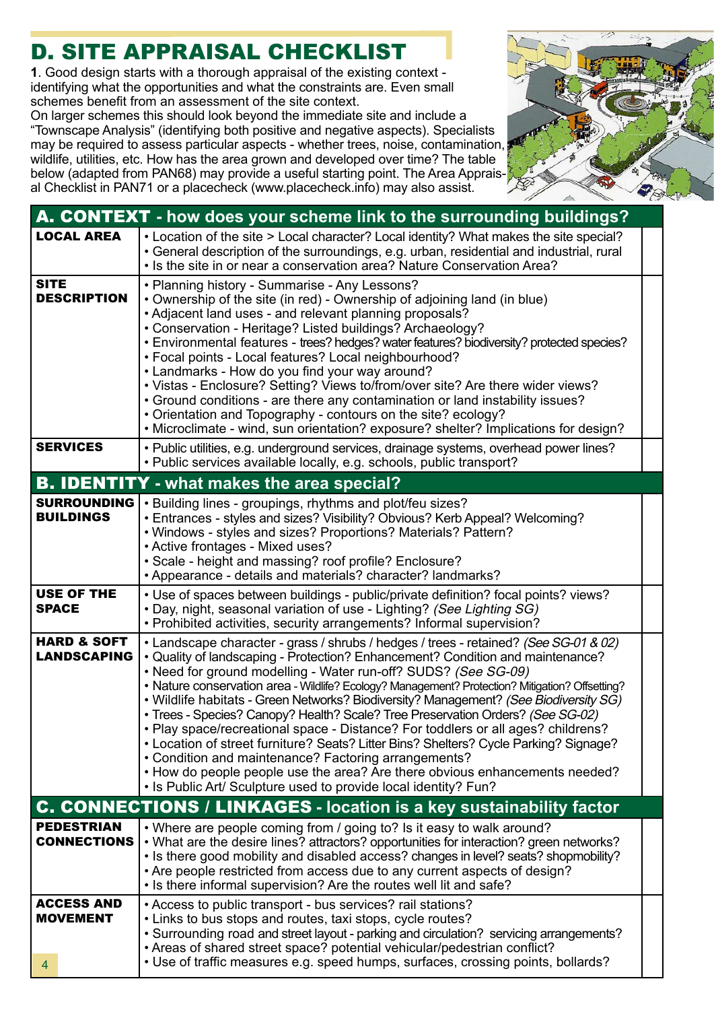# D. SITE APPRAISAL CHECKLIST

**1**. Good design starts with a thorough appraisal of the existing context identifying what the opportunities and what the constraints are. Even small schemes benefit from an assessment of the site context.

On larger schemes this should look beyond the immediate site and include a "Townscape Analysis" (identifying both positive and negative aspects). Specialists may be required to assess particular aspects - whether trees, noise, contamination, wildlife, utilities, etc. How has the area grown and developed over time? The table below (adapted from PAN68) may provide a useful starting point. The Area Appraisal Checklist in PAN71 or a placecheck (www.placecheck.info) may also assist.



| A. CONTEXT - how does your scheme link to the surrounding buildings? |                                                                                                                                                                                                                                                                                                                                                                                                                                                                                                                                                                                                                                                                                                                                                                                                                                                                                                                |  |  |  |
|----------------------------------------------------------------------|----------------------------------------------------------------------------------------------------------------------------------------------------------------------------------------------------------------------------------------------------------------------------------------------------------------------------------------------------------------------------------------------------------------------------------------------------------------------------------------------------------------------------------------------------------------------------------------------------------------------------------------------------------------------------------------------------------------------------------------------------------------------------------------------------------------------------------------------------------------------------------------------------------------|--|--|--|
| <b>LOCAL AREA</b>                                                    | • Location of the site > Local character? Local identity? What makes the site special?<br>• General description of the surroundings, e.g. urban, residential and industrial, rural<br>• Is the site in or near a conservation area? Nature Conservation Area?                                                                                                                                                                                                                                                                                                                                                                                                                                                                                                                                                                                                                                                  |  |  |  |
| <b>SITE</b><br><b>DESCRIPTION</b>                                    | • Planning history - Summarise - Any Lessons?<br>• Ownership of the site (in red) - Ownership of adjoining land (in blue)<br>• Adjacent land uses - and relevant planning proposals?<br>• Conservation - Heritage? Listed buildings? Archaeology?<br>• Environmental features - trees? hedges? water features? biodiversity? protected species?<br>• Focal points - Local features? Local neighbourhood?<br>• Landmarks - How do you find your way around?<br>• Vistas - Enclosure? Setting? Views to/from/over site? Are there wider views?<br>• Ground conditions - are there any contamination or land instability issues?<br>• Orientation and Topography - contours on the site? ecology?<br>• Microclimate - wind, sun orientation? exposure? shelter? Implications for design?                                                                                                                          |  |  |  |
| <b>SERVICES</b>                                                      | • Public utilities, e.g. underground services, drainage systems, overhead power lines?<br>· Public services available locally, e.g. schools, public transport?                                                                                                                                                                                                                                                                                                                                                                                                                                                                                                                                                                                                                                                                                                                                                 |  |  |  |
|                                                                      | <b>B. IDENTITY</b> - what makes the area special?                                                                                                                                                                                                                                                                                                                                                                                                                                                                                                                                                                                                                                                                                                                                                                                                                                                              |  |  |  |
| <b>SURROUNDING</b><br><b>BUILDINGS</b>                               | • Building lines - groupings, rhythms and plot/feu sizes?<br>• Entrances - styles and sizes? Visibility? Obvious? Kerb Appeal? Welcoming?<br>. Windows - styles and sizes? Proportions? Materials? Pattern?<br>• Active frontages - Mixed uses?<br>• Scale - height and massing? roof profile? Enclosure?<br>• Appearance - details and materials? character? landmarks?                                                                                                                                                                                                                                                                                                                                                                                                                                                                                                                                       |  |  |  |
| <b>USE OF THE</b><br><b>SPACE</b>                                    | • Use of spaces between buildings - public/private definition? focal points? views?<br>. Day, night, seasonal variation of use - Lighting? (See Lighting SG)<br>• Prohibited activities, security arrangements? Informal supervision?                                                                                                                                                                                                                                                                                                                                                                                                                                                                                                                                                                                                                                                                          |  |  |  |
| <b>HARD &amp; SOFT</b><br><b>LANDSCAPING</b>                         | • Landscape character - grass / shrubs / hedges / trees - retained? (See SG-01 & 02)<br>• Quality of landscaping - Protection? Enhancement? Condition and maintenance?<br>• Need for ground modelling - Water run-off? SUDS? (See SG-09)<br>• Nature conservation area - Wildlife? Ecology? Management? Protection? Mitigation? Offsetting?<br>. Wildlife habitats - Green Networks? Biodiversity? Management? (See Biodiversity SG)<br>• Trees - Species? Canopy? Health? Scale? Tree Preservation Orders? (See SG-02)<br>• Play space/recreational space - Distance? For toddlers or all ages? childrens?<br>• Location of street furniture? Seats? Litter Bins? Shelters? Cycle Parking? Signage?<br>• Condition and maintenance? Factoring arrangements?<br>• How do people people use the area? Are there obvious enhancements needed?<br>. Is Public Art/ Sculpture used to provide local identity? Fun? |  |  |  |
|                                                                      | <b>C. CONNECTIONS / LINKAGES - location is a key sustainability factor</b>                                                                                                                                                                                                                                                                                                                                                                                                                                                                                                                                                                                                                                                                                                                                                                                                                                     |  |  |  |
| <b>PEDESTRIAN</b><br><b>CONNECTIONS</b>                              | • Where are people coming from / going to? Is it easy to walk around?<br>• What are the desire lines? attractors? opportunities for interaction? green networks?<br>• Is there good mobility and disabled access? changes in level? seats? shopmobility?<br>• Are people restricted from access due to any current aspects of design?<br>. Is there informal supervision? Are the routes well lit and safe?                                                                                                                                                                                                                                                                                                                                                                                                                                                                                                    |  |  |  |
| <b>ACCESS AND</b><br><b>MOVEMENT</b><br>4                            | • Access to public transport - bus services? rail stations?<br>• Links to bus stops and routes, taxi stops, cycle routes?<br>• Surrounding road and street layout - parking and circulation? servicing arrangements?<br>• Areas of shared street space? potential vehicular/pedestrian conflict?<br>• Use of traffic measures e.g. speed humps, surfaces, crossing points, bollards?                                                                                                                                                                                                                                                                                                                                                                                                                                                                                                                           |  |  |  |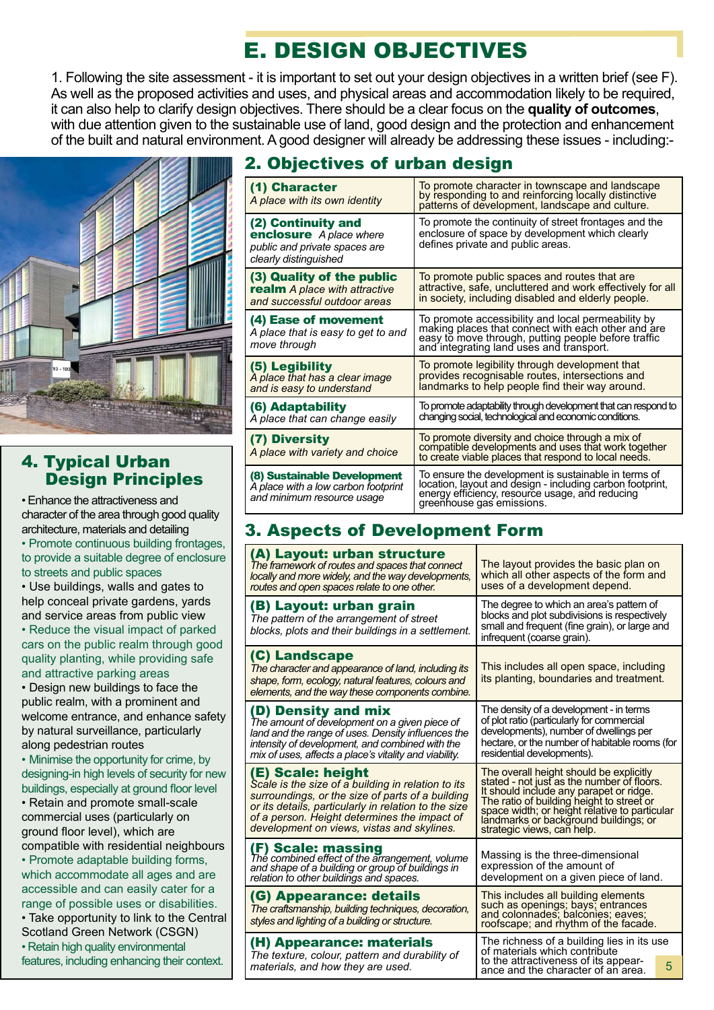# E. DESIGN OBJECTIVES

1. Following the site assessment - it is important to set out your design objectives in a written brief (see F). As well as the proposed activities and uses, and physical areas and accommodation likely to be required, it can also help to clarify design objectives. There should be a clear focus on the **quality of outcomes**, with due attention given to the sustainable use of land, good design and the protection and enhancement of the built and natural environment. A good designer will already be addressing these issues - including:-



### 4. Typical Urban Design Principles

• Enhance the attractiveness and character of the area through good quality architecture, materials and detailing • Promote continuous building frontages, to provide a suitable degree of enclosure to streets and public spaces

• Use buildings, walls and gates to help conceal private gardens, yards and service areas from public view • Reduce the visual impact of parked cars on the public realm through good quality planting, while providing safe and attractive parking areas

• Design new buildings to face the public realm, with a prominent and welcome entrance, and enhance safety by natural surveillance, particularly along pedestrian routes

• Minimise the opportunity for crime, by designing-in high levels of security for new buildings, especially at ground floor level

• Retain and promote small-scale commercial uses (particularly on ground floor level), which are compatible with residential neighbours

• Promote adaptable building forms, which accommodate all ages and are accessible and can easily cater for a range of possible uses or disabilities.

• Take opportunity to link to the Central Scotland Green Network (CSGN) • Retain high quality environmental features, including enhancing their context.

### 2. Objectives of urban design

| (1) Character<br>A place with its own identity                                                                 | To promote character in townscape and landscape<br>by responding to and reinforcing locally distinctive<br>patterns of development, landscape and culture.                                        |
|----------------------------------------------------------------------------------------------------------------|---------------------------------------------------------------------------------------------------------------------------------------------------------------------------------------------------|
| (2) Continuity and<br><b>enclosure</b> A place where<br>public and private spaces are<br>clearly distinguished | To promote the continuity of street frontages and the<br>enclosure of space by development which clearly<br>defines private and public areas.                                                     |
| (3) Quality of the public                                                                                      | To promote public spaces and routes that are                                                                                                                                                      |
| <b>realm</b> A place with attractive                                                                           | attractive, safe, uncluttered and work effectively for all                                                                                                                                        |
| and successful outdoor areas                                                                                   | in society, including disabled and elderly people.                                                                                                                                                |
| (4) Ease of movement                                                                                           | To promote accessibility and local permeability by                                                                                                                                                |
| A place that is easy to get to and                                                                             | making places that connect with each other and are                                                                                                                                                |
| move through                                                                                                   | easy to move through, putting people before traffic<br>and integrating land uses and transport.                                                                                                   |
| (5) Legibility                                                                                                 | To promote legibility through development that                                                                                                                                                    |
| A place that has a clear image                                                                                 | provides recognisable routes, intersections and                                                                                                                                                   |
| and is easy to understand                                                                                      | landmarks to help people find their way around.                                                                                                                                                   |
| (6) Adaptability                                                                                               | To promote adaptability through development that can respond to                                                                                                                                   |
| A place that can change easily                                                                                 | changing social, technological and economic conditions.                                                                                                                                           |
| (7) Diversity                                                                                                  | To promote diversity and choice through a mix of<br>compatible developments and uses that work together                                                                                           |
| A place with variety and choice                                                                                | to create viable places that respond to local needs.                                                                                                                                              |
| (8) Sustainable Development<br>A place with a low carbon footprint<br>and minimum resource usage               | To ensure the development is sustainable in terms of<br>location, layout and design - including carbon footprint,<br>energy efficiency, resource usage, and reducing<br>greenhouse gas emissions. |

### 3. Aspects of Development Form

| (A) Layout: urban structure<br>The framework of routes and spaces that connect<br>locally and more widely, and the way developments,<br>routes and open spaces relate to one other.                                                                                               | The layout provides the basic plan on<br>which all other aspects of the form and<br>uses of a development depend.                                                                                                                                                                                     |
|-----------------------------------------------------------------------------------------------------------------------------------------------------------------------------------------------------------------------------------------------------------------------------------|-------------------------------------------------------------------------------------------------------------------------------------------------------------------------------------------------------------------------------------------------------------------------------------------------------|
| (B) Layout: urban grain<br>The pattern of the arrangement of street<br>blocks, plots and their buildings in a settlement.                                                                                                                                                         | The degree to which an area's pattern of<br>blocks and plot subdivisions is respectively<br>small and frequent (fine grain), or large and<br>infrequent (coarse grain).                                                                                                                               |
| (C) Landscape<br>The character and appearance of land, including its<br>shape, form, ecology, natural features, colours and<br>elements, and the way these components combine.                                                                                                    | This includes all open space, including<br>its planting, boundaries and treatment.                                                                                                                                                                                                                    |
| (D) Density and mix<br>The amount of development on a given piece of<br>land and the range of uses. Density influences the<br>intensity of development, and combined with the<br>mix of uses, affects a place's vitality and viability.                                           | The density of a development - in terms<br>of plot ratio (particularly for commercial<br>developments), number of dwellings per<br>hectare, or the number of habitable rooms (for<br>residential developments).                                                                                       |
| (E) Scale: height<br>Scale is the size of a building in relation to its<br>surroundings, or the size of parts of a building<br>or its details, particularly in relation to the size<br>of a person. Height determines the impact of<br>development on views, vistas and skylines. | The overall height should be explicitly<br>stated - not just as the number of floors.<br>It should include any parapet or ridge.<br>The ratio of building height to street or<br>space width; or height relative to particular<br>landmarks or background buildings; or<br>strategic views, can help. |
| (F) Scale: massing<br>The combined effect of the arrangement, volume<br>and shape of a building or group of buildings in<br>relation to other buildings and spaces.                                                                                                               | Massing is the three-dimensional<br>expression of the amount of<br>development on a given piece of land.                                                                                                                                                                                              |
| (G) Appearance: details<br>The craftsmanship, building techniques, decoration,<br>styles and lighting of a building or structure.                                                                                                                                                 | This includes all building elements<br>such as openings; bays; entrances<br>and colonnades; balconies; eaves;<br>roofscape; and rhythm of the facade.                                                                                                                                                 |
| The richness of a building lies in its use<br>(H) Appearance: materials<br>of materials which contribute<br>The texture, colour, pattern and durability of<br>to the attractiveness of its appear-<br>materials, and how they are used.<br>ance and the character of an area.     |                                                                                                                                                                                                                                                                                                       |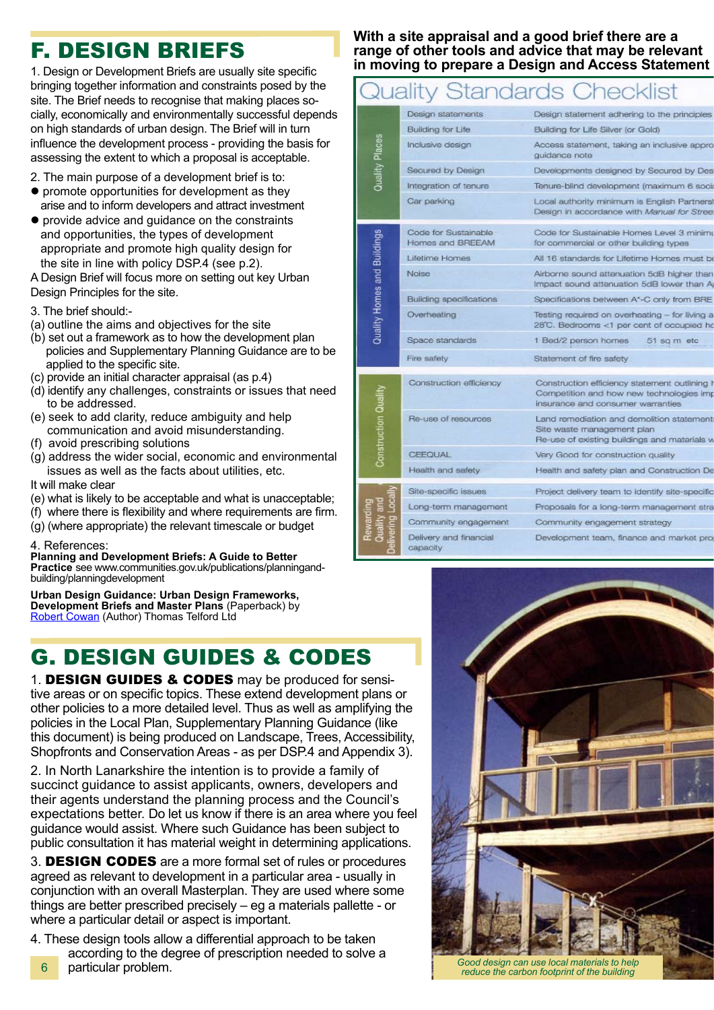# F. DESIGN BRIEFS

1. Design or Development Briefs are usually site specific bringing together information and constraints posed by the site. The Brief needs to recognise that making places socially, economically and environmentally successful depends on high standards of urban design. The Brief will in turn influence the development process - providing the basis for assessing the extent to which a proposal is acceptable.

- 2. The main purpose of a development brief is to:
- $\bullet$  promote opportunities for development as they arise and to inform developers and attract investment
- provide advice and quidance on the constraints and opportunities, the types of development appropriate and promote high quality design for the site in line with policy DSP.4 (see p.2).

A Design Brief will focus more on setting out key Urban Design Principles for the site.

#### 3. The brief should:-

- (a) outline the aims and objectives for the site
- (b) set out a framework as to how the development plan policies and Supplementary Planning Guidance are to be applied to the specific site.
- (c) provide an initial character appraisal (as p.4)
- (d) identify any challenges, constraints or issues that need to be addressed.
- (e) seek to add clarity, reduce ambiguity and help communication and avoid misunderstanding.
- (f) avoid prescribing solutions
- (g) address the wider social, economic and environmental issues as well as the facts about utilities, etc.
- It will make clear
- (e) what is likely to be acceptable and what is unacceptable;
- (f) where there is flexibility and where requirements are firm.
- (g) (where appropriate) the relevant timescale or budget

#### 4. References:

**Planning and Development Briefs: A Guide to Better Practice** see www.communities.gov.uk/publications/planningand- building/planningdevelopment

**Urban Design Guidance: Urban Design Frameworks, Development Briefs and Master Plans** (Paperback) by Robert Cowan</u> (Author) Thomas Telford Ltd

# G. DESIGN GUIDES & CODES

1. DESIGN GUIDES & CODES may be produced for sensitive areas or on specific topics. These extend development plans or other policies to a more detailed level. Thus as well as amplifying the policies in the Local Plan, Supplementary Planning Guidance (like this document) is being produced on Landscape, Trees, Accessibility, Shopfronts and Conservation Areas - as per DSP.4 and Appendix 3).

2. In North Lanarkshire the intention is to provide a family of succinct guidance to assist applicants, owners, developers and their agents understand the planning process and the Council's expectations better. Do let us know if there is an area where you feel guidance would assist. Where such Guidance has been subject to public consultation it has material weight in determining applications.

3. DESIGN CODES are a more formal set of rules or procedures agreed as relevant to development in a particular area - usually in conjunction with an overall Masterplan. They are used where some things are better prescribed precisely – eg a materials pallette - or where a particular detail or aspect is important.

4. These design tools allow a differential approach to be taken according to the degree of prescription needed to solve a particular problem.

#### **With a site appraisal and a good brief there are a range of other tools and advice that may be relevant in moving to prepare a Design and Access Statement**

# Quality Standards Checklist

|                             | Design statements                        | Design statement adhering to the principles                                                                                    |
|-----------------------------|------------------------------------------|--------------------------------------------------------------------------------------------------------------------------------|
|                             | Building for Life                        | Building for Life Silver (or Gold)                                                                                             |
| Quality Places              | Inclusive design                         | Access statement, taking an inclusive appro<br>quidance note                                                                   |
|                             | Secured by Design                        | Developments designed by Secured by Des                                                                                        |
|                             | Integration of tenure                    | Tenure-blind development (maximum 6 soci                                                                                       |
|                             | Car parking                              | Local authority minimum is English Partners<br>Design in accordance with Manual for Stree                                      |
|                             | Code for Sustainable<br>Homes and BREEAM | Code for Sustainable Homes Level 3 minimi<br>for commercial or other building types                                            |
|                             | Lifetime Homes                           | All 16 standards for Lifetime Homes must be                                                                                    |
| Quality Homes and Buildings | Noise                                    | Airborne sound attenuation 5dB higher than<br>Impact sound attenuation 5dB lower than A                                        |
|                             | Building specifications                  | Specifications between A'-C only from BRE                                                                                      |
|                             | Overheating                              | Testing required on overheating - for living a<br>28°C. Bedrooms <1 per cent of occupied ho                                    |
|                             | Space standards                          | 1 Bed/2 person homes<br>51 sq m etc                                                                                            |
|                             | Fire safety                              | Statement of fire safety                                                                                                       |
|                             | Construction efficiency                  | Construction efficiency statement outlining I<br>Competition and how new technologies imp<br>insurance and consumer warranties |
| Construction Quality        | Re-use of resources                      | Land remediation and demolition statement<br>Site waste management plan<br>Re-use of existing buildings and materials v        |
|                             | CEEQUAL                                  | Very Good for construction quality                                                                                             |
|                             | Health and safety                        | Health and safety plan and Construction De                                                                                     |
|                             | Site-specific issues                     | Project delivery team to identify site-specific                                                                                |
|                             | Long-term management                     | Proposals for a long-term management stre                                                                                      |
|                             | Community engagement                     | Community engagement strategy                                                                                                  |
|                             | Delivery and financial<br>capacity       | Development team, finance and market pro                                                                                       |



*reduce the carbon footprint of the building*

6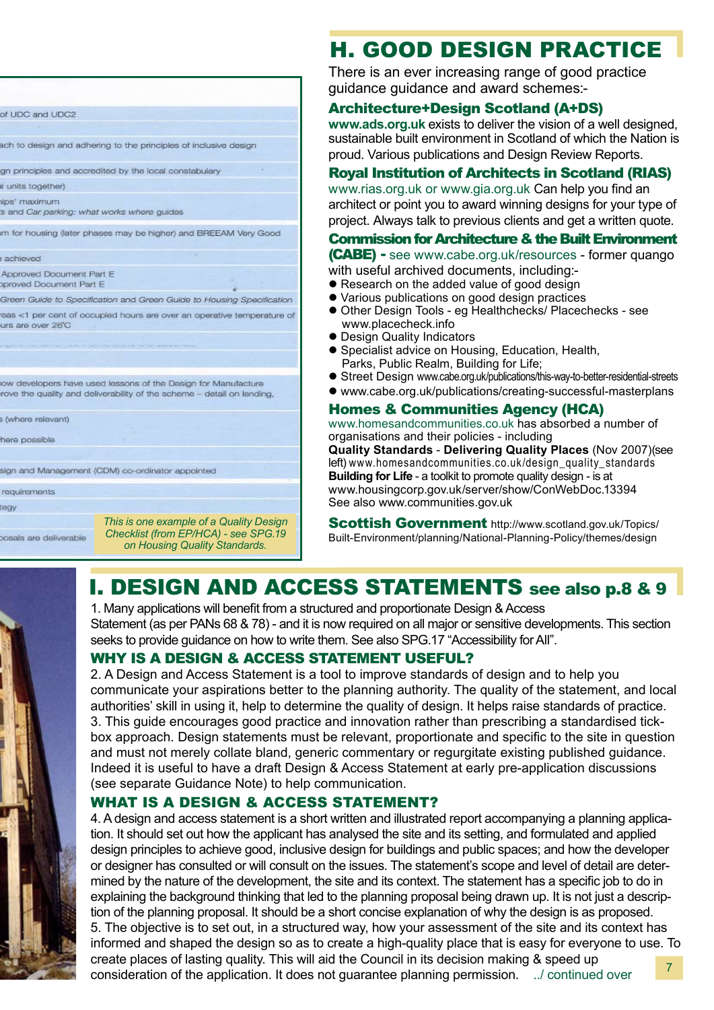| of UDC and UDC2                                                                                                                         |                                                                                 |  |  |
|-----------------------------------------------------------------------------------------------------------------------------------------|---------------------------------------------------------------------------------|--|--|
|                                                                                                                                         |                                                                                 |  |  |
| ach to design and adhering to the principles of inclusive design                                                                        |                                                                                 |  |  |
|                                                                                                                                         | gn principles and accredited by the local constabulary                          |  |  |
| al units together)                                                                                                                      |                                                                                 |  |  |
| tips' maximum<br>'s and Car parking: what works where guides                                                                            |                                                                                 |  |  |
| m for housing (later phases may be higher) and BREEAM Very Good                                                                         |                                                                                 |  |  |
| achieved                                                                                                                                |                                                                                 |  |  |
| Approved Document Part E<br>oproved Document Part E                                                                                     |                                                                                 |  |  |
|                                                                                                                                         | Green Guide to Specification and Green Guide to Housing Specification           |  |  |
| urs are over 26°C                                                                                                                       | reas <1 per cent of occupied hours are over an operative temperature of         |  |  |
|                                                                                                                                         |                                                                                 |  |  |
|                                                                                                                                         |                                                                                 |  |  |
|                                                                                                                                         |                                                                                 |  |  |
| ow developers have used lessons of the Design for Manufacture<br>rove the quality and deliverability of the scheme - detail on lending, |                                                                                 |  |  |
| s (where relevant)                                                                                                                      |                                                                                 |  |  |
| here possible                                                                                                                           |                                                                                 |  |  |
|                                                                                                                                         | sign and Management (CDM) co-ordinator appointed                                |  |  |
| requirements                                                                                                                            |                                                                                 |  |  |
| tegy                                                                                                                                    |                                                                                 |  |  |
| onsais are deliverable                                                                                                                  | This is one example of a Quality Design<br>Checklist (from EP/HCA) - see SPG.19 |  |  |

*on Housing Quality Standards.*

# H. GOOD DESIGN PRACTICE

There is an ever increasing range of good practice guidance guidance and award schemes:-

#### Architecture+Design Scotland (A+DS)

**www.ads.org.uk** exists to deliver the vision of a well designed, sustainable built environment in Scotland of which the Nation is proud. Various publications and Design Review Reports.

### Royal Institution of Architects in Scotland (RIAS)

www.rias.org.uk or www.gia.org.uk Can help you find an architect or point you to award winning designs for your type of project. Always talk to previous clients and get a written quote.

### Commission for Architecture & the Built Environment

(CABE) **-** see www.cabe.org.uk/resources - former quango

- with useful archived documents, including:-
- Research on the added value of good design
- l Various publications on good design practices
- Other Design Tools eg Healthchecks/ Placechecks see www.placecheck.info
- Design Quality Indicators
- **Specialist advice on Housing, Education, Health,** Parks, Public Realm, Building for Life;
- Street Design www.cabe.org.uk/publications/this-way-to-better-residential-streets
- www.cabe.org.uk/publications/creating-successful-masterplans

#### Homes & Communities Agency (HCA)

www.homesandcommunities.co.uk has absorbed a number of organisations and their policies - including **Quality Standards** - **Delivering Quality Places** (Nov 2007)(see left) www.homesandcommunities.co.uk/design\_quality\_standards **Building for Life** - a toolkit to promote quality design - is at www.housingcorp.gov.uk/server/show/ConWebDoc.13394 See also www.communities.gov.uk

Scottish Government http://www.scotland.gov.uk/Topics/ Built-Environment/planning/National-Planning-Policy/themes/design

# I. DESIGN AND ACCESS STATEMENTS see also p.8 & 9

1. Many applications will benefit from a structured and proportionate Design & Access Statement (as per PANs 68 & 78) - and it is now required on all major or sensitive developments. This section seeks to provide guidance on how to write them. See also SPG.17 "Accessibility for All".

#### WHY IS A DESIGN & ACCESS STATEMENT USEFUL?

2. A Design and Access Statement is a tool to improve standards of design and to help you communicate your aspirations better to the planning authority. The quality of the statement, and local authorities' skill in using it, help to determine the quality of design. It helps raise standards of practice. 3. This guide encourages good practice and innovation rather than prescribing a standardised tickbox approach. Design statements must be relevant, proportionate and specific to the site in question and must not merely collate bland, generic commentary or regurgitate existing published guidance. Indeed it is useful to have a draft Design & Access Statement at early pre-application discussions (see separate Guidance Note) to help communication.

### WHAT IS A DESIGN & ACCESS STATEMENT?

4. A design and access statement is a short written and illustrated report accompanying a planning application. It should set out how the applicant has analysed the site and its setting, and formulated and applied design principles to achieve good, inclusive design for buildings and public spaces; and how the developer or designer has consulted or will consult on the issues. The statement's scope and level of detail are determined by the nature of the development, the site and its context. The statement has a specific job to do in explaining the background thinking that led to the planning proposal being drawn up. It is not just a description of the planning proposal. It should be a short concise explanation of why the design is as proposed. 5. The objective is to set out, in a structured way, how your assessment of the site and its context has informed and shaped the design so as to create a high-quality place that is easy for everyone to use. To create places of lasting quality. This will aid the Council in its decision making & speed up consideration of the application. It does not guarantee planning permission. ../ continued over 7

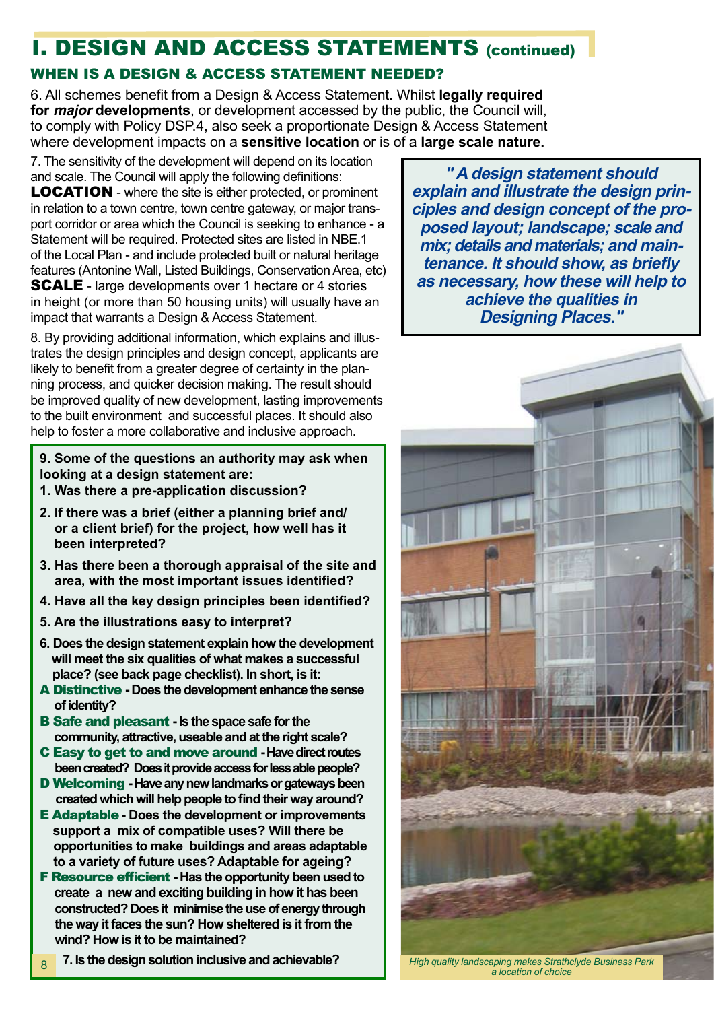# I. DESIGN AND ACCESS STATEMENTS (continued)

### WHEN IS A DESIGN & ACCESS STATEMENT NEEDED?

6. All schemes benefit from a Design & Access Statement. Whilst **legally required for major developments**, or development accessed by the public, the Council will, to comply with Policy DSP.4, also seek a proportionate Design & Access Statement where development impacts on a **sensitive location** or is of a **large scale nature.**

7. The sensitivity of the development will depend on its location and scale. The Council will apply the following definitions: LOCATION - where the site is either protected, or prominent in relation to a town centre, town centre gateway, or major transport corridor or area which the Council is seeking to enhance - a Statement will be required. Protected sites are listed in NBE.1 of the Local Plan - and include protected built or natural heritage features (Antonine Wall, Listed Buildings, Conservation Area, etc) SCALE - large developments over 1 hectare or 4 stories in height (or more than 50 housing units) will usually have an impact that warrants a Design & Access Statement.

8. By providing additional information, which explains and illustrates the design principles and design concept, applicants are likely to benefit from a greater degree of certainty in the planning process, and quicker decision making. The result should be improved quality of new development, lasting improvements to the built environment and successful places. It should also help to foster a more collaborative and inclusive approach.

**9. Some of the questions an authority may ask when looking at a design statement are:**

- **1. Was there a pre-application discussion?**
- **2. If there was a brief (either a planning brief and/ or a client brief) for the project, how well has it been interpreted?**
- **3. Has there been a thorough appraisal of the site and area, with the most important issues identified?**
- **4. Have all the key design principles been identified?**
- **5. Are the illustrations easy to interpret?**
- **6. Does the design statement explain how the development will meet the six qualities of what makes a successful place? (see back page checklist). In short, is it:**
- A Distinctive  **Does the development enhance the sense of identity?**
- B Safe and pleasant  **Is the space safe for the community, attractive, useable and at the right scale?**
- C Easy to get to and move around  **Have direct routes been created? Does it provide access for less able people?**
- D Welcoming  **Have any new landmarks or gateways been created which will help people to find their way around?**
- E Adaptable **Does the development or improvements support a mix of compatible uses? Will there be opportunities to make buildings and areas adaptable to a variety of future uses? Adaptable for ageing?**
- F Resource efficient  **Has the opportunity been used to create a new and exciting building in how it has been constructed? Does it minimise the use of energy through the way it faces the sun? How sheltered is it from the wind? How is it to be maintained?**
- **7. Is the design solution inclusive and achievable?** 8

**" A design statement should explain and illustrate the design principles and design concept of the proposed layout; landscape; scale and mix; details and materials; and maintenance. It should show, as briefly as necessary, how these will help to achieve the qualities in Designing Places."**



*High quality landscaping makes Strathclyde Business Park a location of choice*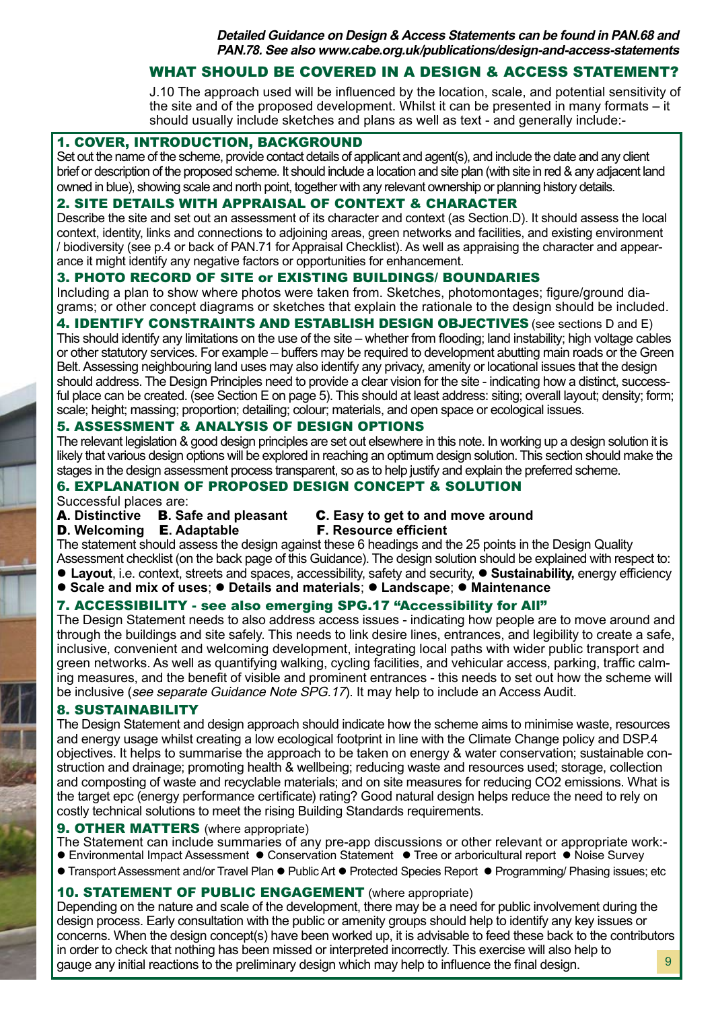**Detailed Guidance on Design & Access Statements can be found in PAN.68 and PAN.78. See also www.cabe.org.uk/publications/design-and-access-statements**

#### WHAT SHOULD BE COVERED IN A DESIGN & ACCESS STATEMENT?

J.10 The approach used will be influenced by the location, scale, and potential sensitivity of the site and of the proposed development. Whilst it can be presented in many formats – it should usually include sketches and plans as well as text - and generally include:-

#### 1. COVER, INTRODUCTION, BACKGROUND

Set out the name of the scheme, provide contact details of applicant and agent(s), and include the date and any client brief or description of the proposed scheme. It should include a location and site plan (with site in red & any adjacent land owned in blue), showing scale and north point, together with any relevant ownership or planning history details.

#### 2. SITE DETAILS WITH APPRAISAL OF CONTEXT & CHARACTER

Describe the site and set out an assessment of its character and context (as Section.D). It should assess the local context, identity, links and connections to adjoining areas, green networks and facilities, and existing environment / biodiversity (see p.4 or back of PAN.71 for Appraisal Checklist). As well as appraising the character and appearance it might identify any negative factors or opportunities for enhancement.

#### 3. PHOTO RECORD OF SITE or EXISTING BUILDINGS/ BOUNDARIES

Including a plan to show where photos were taken from. Sketches, photomontages; figure/ground diagrams; or other concept diagrams or sketches that explain the rationale to the design should be included.

#### 4. **IDENTIFY CONSTRAINTS AND ESTABLISH DESIGN OBJECTIVES** (see sections D and E)

This should identify any limitations on the use of the site – whether from flooding; land instability; high voltage cables or other statutory services. For example – buffers may be required to development abutting main roads or the Green Belt. Assessing neighbouring land uses may also identify any privacy, amenity or locational issues that the design should address. The Design Principles need to provide a clear vision for the site - indicating how a distinct, successful place can be created. (see Section E on page 5). This should at least address: siting; overall layout; density; form; scale; height; massing; proportion; detailing; colour; materials, and open space or ecological issues.

#### 5. ASSESSMENT & ANALYSIS OF DESIGN OPTIONS

The relevant legislation & good design principles are set out elsewhere in this note. In working up a design solution it is likely that various design options will be explored in reaching an optimum design solution. This section should make the stages in the design assessment process transparent, so as to help justify and explain the preferred scheme.

#### 6. EXPLANATION OF PROPOSED DESIGN CONCEPT & SOLUTION

# Successful places are:<br>**A. Distinctive B. Safe and pleasant**

# **C.** Easy to get to and move around **F.** Resource efficient

**D.** Welcoming **E.** Adaptable

The statement should assess the design against these 6 headings and the 25 points in the Design Quality

Assessment checklist (on the back page of this Guidance). The design solution should be explained with respect to: **Layout**, i.e. context, streets and spaces, accessibility, safety and security, **• Sustainability**, energy efficiency

**learch Scale and mix of uses;**  $\bullet$  **Details and materials;**  $\bullet$  **Landscape;**  $\bullet$  **Maintenance** 

### 7. ACCESSIBILITY - see also emerging SPG.17 "Accessibility for All"

The Design Statement needs to also address access issues - indicating how people are to move around and through the buildings and site safely. This needs to link desire lines, entrances, and legibility to create a safe, inclusive, convenient and welcoming development, integrating local paths with wider public transport and green networks. As well as quantifying walking, cycling facilities, and vehicular access, parking, traffic calming measures, and the benefit of visible and prominent entrances - this needs to set out how the scheme will be inclusive (see separate Guidance Note SPG.17). It may help to include an Access Audit.

#### 8. SUSTAINABILITY

The Design Statement and design approach should indicate how the scheme aims to minimise waste, resources and energy usage whilst creating a low ecological footprint in line with the Climate Change policy and DSP.4 objectives. It helps to summarise the approach to be taken on energy & water conservation; sustainable construction and drainage; promoting health & wellbeing; reducing waste and resources used; storage, collection and composting of waste and recyclable materials; and on site measures for reducing CO2 emissions. What is the target epc (energy performance certificate) rating? Good natural design helps reduce the need to rely on costly technical solutions to meet the rising Building Standards requirements.

#### **9. OTHER MATTERS** (where appropriate)

The Statement can include summaries of any pre-app discussions or other relevant or appropriate work:-

- Environmental Impact Assessment Conservation Statement Tree or arboricultural report Noise Survey
- $\bullet$  Transport Assessment and/or Travel Plan  $\bullet$  Public Art  $\bullet$  Protected Species Report  $\bullet$  Programming/ Phasing issues; etc

#### 10. STATEMENT OF PUBLIC ENGAGEMENT (where appropriate)

Depending on the nature and scale of the development, there may be a need for public involvement during the design process. Early consultation with the public or amenity groups should help to identify any key issues or concerns. When the design concept(s) have been worked up, it is advisable to feed these back to the contributors in order to check that nothing has been missed or interpreted incorrectly. This exercise will also help to gauge any initial reactions to the preliminary design which may help to influence the final design.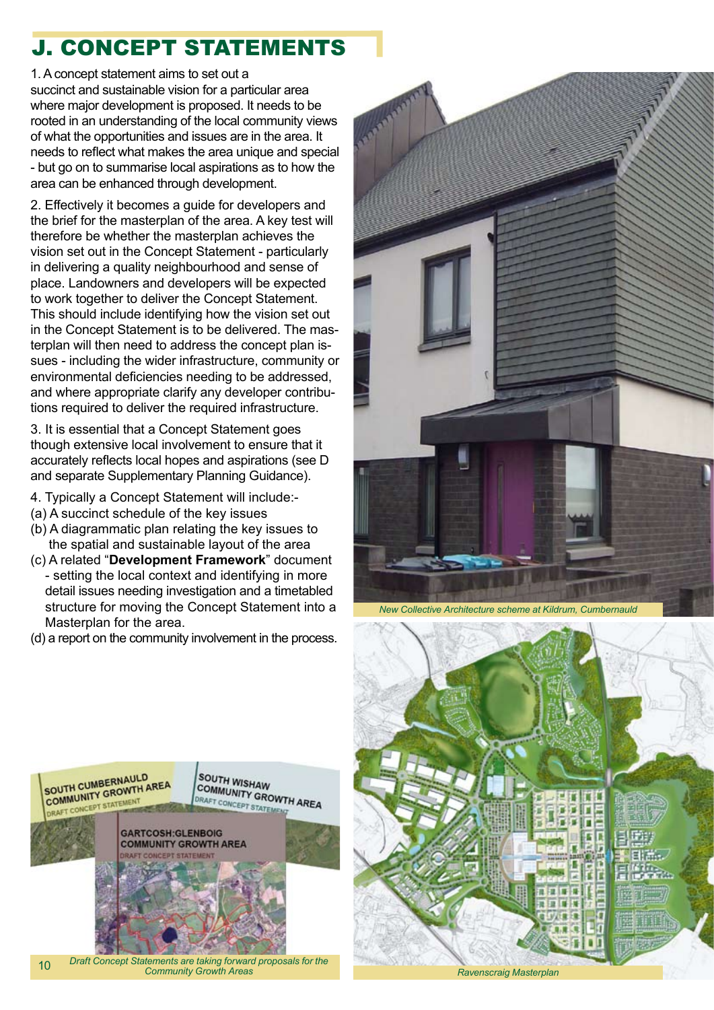# J. CONCEPT STATEMENTS

1. A concept statement aims to set out a succinct and sustainable vision for a particular area where major development is proposed. It needs to be rooted in an understanding of the local community views of what the opportunities and issues are in the area. It needs to reflect what makes the area unique and special - but go on to summarise local aspirations as to how the area can be enhanced through development.

2. Effectively it becomes a guide for developers and the brief for the masterplan of the area. A key test will therefore be whether the masterplan achieves the vision set out in the Concept Statement - particularly in delivering a quality neighbourhood and sense of place. Landowners and developers will be expected to work together to deliver the Concept Statement. This should include identifying how the vision set out in the Concept Statement is to be delivered. The masterplan will then need to address the concept plan issues - including the wider infrastructure, community or environmental deficiencies needing to be addressed, and where appropriate clarify any developer contributions required to deliver the required infrastructure.

3. It is essential that a Concept Statement goes though extensive local involvement to ensure that it accurately reflects local hopes and aspirations (see D and separate Supplementary Planning Guidance).

- 4. Typically a Concept Statement will include:-
- (a) A succinct schedule of the key issues
- (b) A diagrammatic plan relating the key issues to the spatial and sustainable layout of the area
- (c) A related "**Development Framework**" document - setting the local context and identifying in more detail issues needing investigation and a timetabled structure for moving the Concept Statement into a Masterplan for the area.
- (d) a report on the community involvement in the process.



*New Collective Architecture scheme at Kildrum, Cumbernauld*





10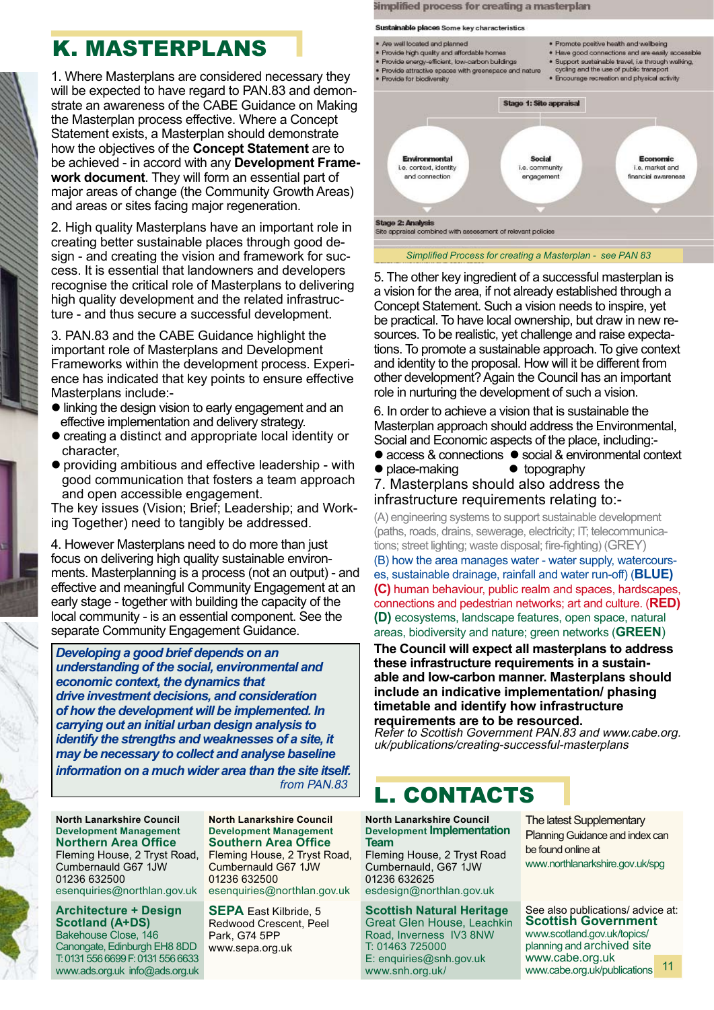# K. MASTERPLANS

1. Where Masterplans are considered necessary they will be expected to have regard to PAN.83 and demonstrate an awareness of the CABE Guidance on Making the Masterplan process effective. Where a Concept Statement exists, a Masterplan should demonstrate how the objectives of the **Concept Statement** are to be achieved - in accord with any **Development Framework document**. They will form an essential part of major areas of change (the Community Growth Areas) and areas or sites facing major regeneration.

2. High quality Masterplans have an important role in creating better sustainable places through good design - and creating the vision and framework for success. It is essential that landowners and developers recognise the critical role of Masterplans to delivering high quality development and the related infrastructure - and thus secure a successful development.

3. PAN.83 and the CABE Guidance highlight the important role of Masterplans and Development Frameworks within the development process. Experience has indicated that key points to ensure effective Masterplans include:-

- linking the design vision to early engagement and an effective implementation and delivery strategy.
- creating a distinct and appropriate local identity or character,
- l providing ambitious and effective leadership with good communication that fosters a team approach and open accessible engagement.

The key issues (Vision; Brief; Leadership; and Working Together) need to tangibly be addressed.

4. However Masterplans need to do more than just focus on delivering high quality sustainable environments. Masterplanning is a process (not an output) - and effective and meaningful Community Engagement at an early stage - together with building the capacity of the local community - is an essential component. See the separate Community Engagement Guidance.

*Developing a good brief depends on an understanding of the social, environmental and economic context, the dynamics that drive investment decisions, and consideration of how the development will be implemented. In carrying out an initial urban design analysis to identify the strengths and weaknesses of a site, it may be necessary to collect and analyse baseline information on a much wider area than the site itself.* from PAN.83

**North Lanarkshire Council Development Management Northern Area Office** Fleming House, 2 Tryst Road, Cumbernauld G67 1JW 01236 632500 esenquiries@northlan.gov.uk

**Architecture + Design Scotland (A+DS)** Bakehouse Close, 146 Canongate, Edinburgh EH8 8DD T: 0131 556 6699 F: 0131 556 6633 www.ads.org.uk info@ads.org.uk

**North Lanarkshire Council Development Management Southern Area Office** Fleming House, 2 Tryst Road, Cumbernauld G67 1JW 01236 632500 esenquiries@northlan.gov.uk

**SEPA** East Kilbride, 5 Redwood Crescent, Peel Park, G74 5PP www.sepa.org.uk



Simplified process for creating a masterplan

*Simplified Process for creating a Masterplan - see PAN 83*

5. The other key ingredient of a successful masterplan is a vision for the area, if not already established through a Concept Statement. Such a vision needs to inspire, yet be practical. To have local ownership, but draw in new resources. To be realistic, yet challenge and raise expectations. To promote a sustainable approach. To give context and identity to the proposal. How will it be different from other development? Again the Council has an important role in nurturing the development of such a vision.

6. In order to achieve a vision that is sustainable the Masterplan approach should address the Environmental, Social and Economic aspects of the place, including:-

- access & connections social & environmental context<br>• place-making topography
- $\bullet$  place-making
- 7. Masterplans should also address the infrastructure requirements relating to:-

(A) engineering systems to support sustainable development (paths, roads, drains, sewerage, electricity; IT; telecommunications; street lighting; waste disposal; fire-fighting) (GREY)

(B) how the area manages water - water supply, watercourses, sustainable drainage, rainfall and water run-off) (**BLUE) (C)** human behaviour, public realm and spaces, hardscapes, connections and pedestrian networks; art and culture. (**RED) (D)** ecosystems, landscape features, open space, natural areas, biodiversity and nature; green networks (**GREEN**)

**The Council will expect all masterplans to address these infrastructure requirements in a sustainable and low-carbon manner. Masterplans should include an indicative implementation/ phasing timetable and identify how infrastructure requirements are to be resourced.**

Refer to Scottish Government PAN.83 and www.cabe.org. uk/publications/creating-successful-masterplans

## L. CONTACTS

**North Lanarkshire Council Development Implementation Team**

Fleming House, 2 Tryst Road Cumbernauld, G67 1JW 01236 632625 esdesign@northlan.gov.uk

**Scottish Natural Heritage**  Great Glen House, Leachkin Road, Inverness IV3 8NW T: 01463 725000 E: enquiries@snh.gov.uk www.snh.org.uk/

The latest Supplementary Planning Guidance and index can be found online at www.northlanarkshire.gov.uk/spg

See also publications/ advice at: **Scottish Government** www.scotland.gov.uk/topics/ planning and archived site www.cabe.org.uk www.cabe.org.uk/publications 11